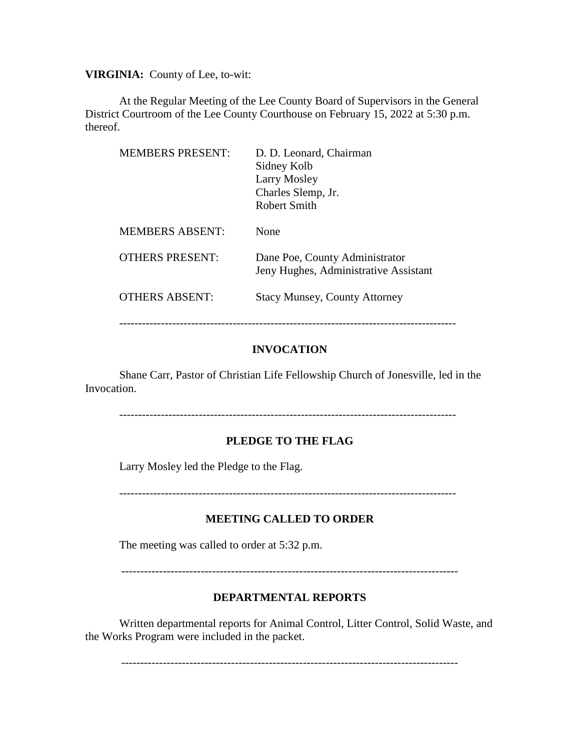**VIRGINIA:** County of Lee, to-wit:

At the Regular Meeting of the Lee County Board of Supervisors in the General District Courtroom of the Lee County Courthouse on February 15, 2022 at 5:30 p.m. thereof.

| <b>MEMBERS PRESENT:</b> | D. D. Leonard, Chairman<br>Sidney Kolb<br>Larry Mosley<br>Charles Slemp, Jr.<br>Robert Smith |
|-------------------------|----------------------------------------------------------------------------------------------|
| <b>MEMBERS ABSENT:</b>  | None                                                                                         |
| <b>OTHERS PRESENT:</b>  | Dane Poe, County Administrator<br>Jeny Hughes, Administrative Assistant                      |
| <b>OTHERS ABSENT:</b>   | <b>Stacy Munsey, County Attorney</b>                                                         |

### **INVOCATION**

Shane Carr, Pastor of Christian Life Fellowship Church of Jonesville, led in the Invocation.

-----------------------------------------------------------------------------------------

#### **PLEDGE TO THE FLAG**

Larry Mosley led the Pledge to the Flag.

-----------------------------------------------------------------------------------------

#### **MEETING CALLED TO ORDER**

The meeting was called to order at 5:32 p.m.

-----------------------------------------------------------------------------------------

#### **DEPARTMENTAL REPORTS**

Written departmental reports for Animal Control, Litter Control, Solid Waste, and the Works Program were included in the packet.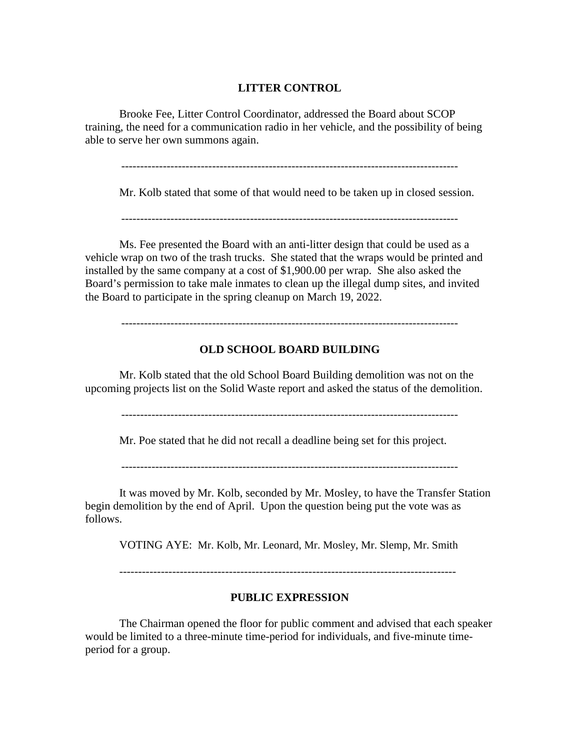#### **LITTER CONTROL**

Brooke Fee, Litter Control Coordinator, addressed the Board about SCOP training, the need for a communication radio in her vehicle, and the possibility of being able to serve her own summons again.

-----------------------------------------------------------------------------------------

Mr. Kolb stated that some of that would need to be taken up in closed session.

Ms. Fee presented the Board with an anti-litter design that could be used as a vehicle wrap on two of the trash trucks. She stated that the wraps would be printed and installed by the same company at a cost of \$1,900.00 per wrap. She also asked the Board's permission to take male inmates to clean up the illegal dump sites, and invited the Board to participate in the spring cleanup on March 19, 2022.

-----------------------------------------------------------------------------------------

#### **OLD SCHOOL BOARD BUILDING**

Mr. Kolb stated that the old School Board Building demolition was not on the upcoming projects list on the Solid Waste report and asked the status of the demolition.

-----------------------------------------------------------------------------------------

Mr. Poe stated that he did not recall a deadline being set for this project.

-----------------------------------------------------------------------------------------

It was moved by Mr. Kolb, seconded by Mr. Mosley, to have the Transfer Station begin demolition by the end of April. Upon the question being put the vote was as follows.

VOTING AYE: Mr. Kolb, Mr. Leonard, Mr. Mosley, Mr. Slemp, Mr. Smith

#### **PUBLIC EXPRESSION**

The Chairman opened the floor for public comment and advised that each speaker would be limited to a three-minute time-period for individuals, and five-minute timeperiod for a group.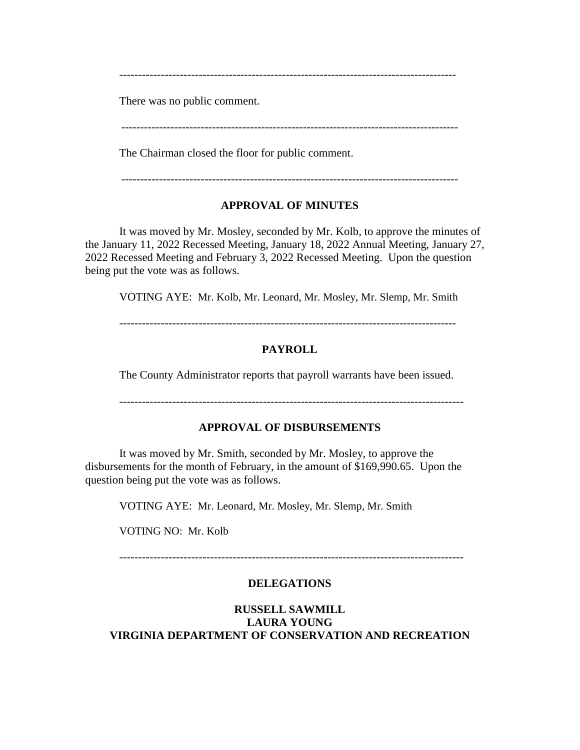-----------------------------------------------------------------------------------------

There was no public comment.

-----------------------------------------------------------------------------------------

The Chairman closed the floor for public comment.

-----------------------------------------------------------------------------------------

### **APPROVAL OF MINUTES**

It was moved by Mr. Mosley, seconded by Mr. Kolb, to approve the minutes of the January 11, 2022 Recessed Meeting, January 18, 2022 Annual Meeting, January 27, 2022 Recessed Meeting and February 3, 2022 Recessed Meeting. Upon the question being put the vote was as follows.

VOTING AYE: Mr. Kolb, Mr. Leonard, Mr. Mosley, Mr. Slemp, Mr. Smith

-----------------------------------------------------------------------------------------

## **PAYROLL**

The County Administrator reports that payroll warrants have been issued.

### **APPROVAL OF DISBURSEMENTS**

It was moved by Mr. Smith, seconded by Mr. Mosley, to approve the disbursements for the month of February, in the amount of \$169,990.65. Upon the question being put the vote was as follows.

VOTING AYE: Mr. Leonard, Mr. Mosley, Mr. Slemp, Mr. Smith

VOTING NO: Mr. Kolb

-------------------------------------------------------------------------------------------

### **DELEGATIONS**

## **RUSSELL SAWMILL LAURA YOUNG VIRGINIA DEPARTMENT OF CONSERVATION AND RECREATION**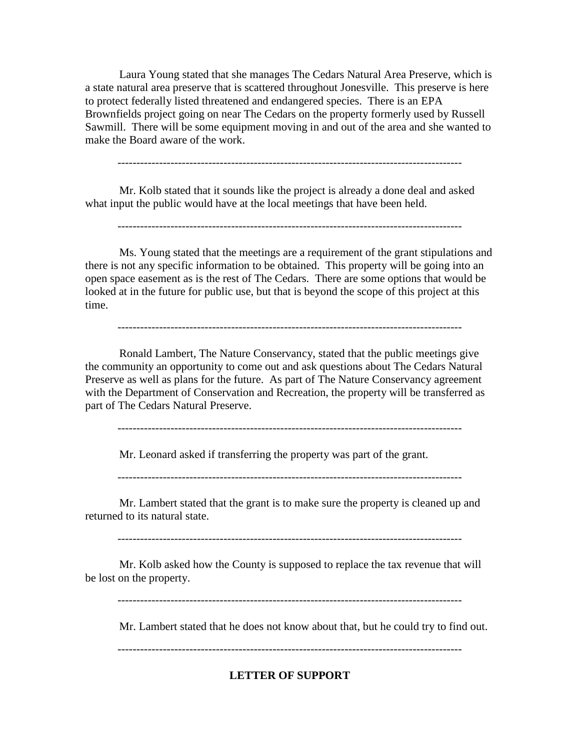Laura Young stated that she manages The Cedars Natural Area Preserve, which is a state natural area preserve that is scattered throughout Jonesville. This preserve is here to protect federally listed threatened and endangered species. There is an EPA Brownfields project going on near The Cedars on the property formerly used by Russell Sawmill. There will be some equipment moving in and out of the area and she wanted to make the Board aware of the work.

-------------------------------------------------------------------------------------------

Mr. Kolb stated that it sounds like the project is already a done deal and asked what input the public would have at the local meetings that have been held.

-------------------------------------------------------------------------------------------

Ms. Young stated that the meetings are a requirement of the grant stipulations and there is not any specific information to be obtained. This property will be going into an open space easement as is the rest of The Cedars. There are some options that would be looked at in the future for public use, but that is beyond the scope of this project at this time.

-------------------------------------------------------------------------------------------

Ronald Lambert, The Nature Conservancy, stated that the public meetings give the community an opportunity to come out and ask questions about The Cedars Natural Preserve as well as plans for the future. As part of The Nature Conservancy agreement with the Department of Conservation and Recreation, the property will be transferred as part of The Cedars Natural Preserve.

-------------------------------------------------------------------------------------------

Mr. Leonard asked if transferring the property was part of the grant.

-------------------------------------------------------------------------------------------

Mr. Lambert stated that the grant is to make sure the property is cleaned up and returned to its natural state.

Mr. Kolb asked how the County is supposed to replace the tax revenue that will be lost on the property.

Mr. Lambert stated that he does not know about that, but he could try to find out.

**LETTER OF SUPPORT**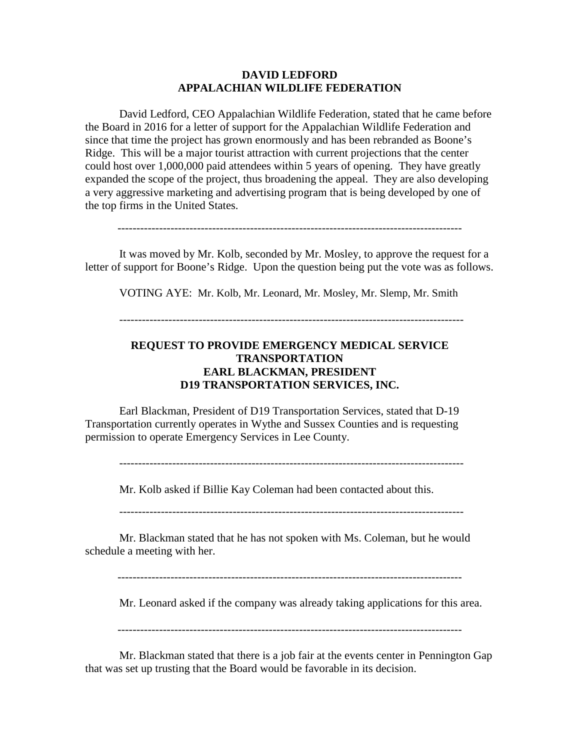### **DAVID LEDFORD APPALACHIAN WILDLIFE FEDERATION**

David Ledford, CEO Appalachian Wildlife Federation, stated that he came before the Board in 2016 for a letter of support for the Appalachian Wildlife Federation and since that time the project has grown enormously and has been rebranded as Boone's Ridge. This will be a major tourist attraction with current projections that the center could host over 1,000,000 paid attendees within 5 years of opening. They have greatly expanded the scope of the project, thus broadening the appeal. They are also developing a very aggressive marketing and advertising program that is being developed by one of the top firms in the United States.

-------------------------------------------------------------------------------------------

It was moved by Mr. Kolb, seconded by Mr. Mosley, to approve the request for a letter of support for Boone's Ridge. Upon the question being put the vote was as follows.

VOTING AYE: Mr. Kolb, Mr. Leonard, Mr. Mosley, Mr. Slemp, Mr. Smith

-------------------------------------------------------------------------------------------

## **REQUEST TO PROVIDE EMERGENCY MEDICAL SERVICE TRANSPORTATION EARL BLACKMAN, PRESIDENT D19 TRANSPORTATION SERVICES, INC.**

Earl Blackman, President of D19 Transportation Services, stated that D-19 Transportation currently operates in Wythe and Sussex Counties and is requesting permission to operate Emergency Services in Lee County.

-------------------------------------------------------------------------------------------

Mr. Kolb asked if Billie Kay Coleman had been contacted about this.

-------------------------------------------------------------------------------------------

Mr. Blackman stated that he has not spoken with Ms. Coleman, but he would schedule a meeting with her.

Mr. Leonard asked if the company was already taking applications for this area.

Mr. Blackman stated that there is a job fair at the events center in Pennington Gap that was set up trusting that the Board would be favorable in its decision.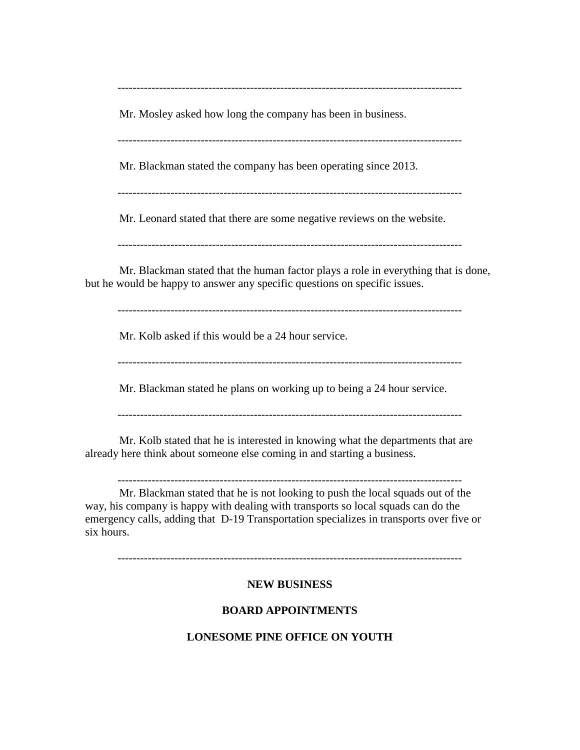Mr. Mosley asked how long the company has been in business.

-------------------------------------------------------------------------------------------

Mr. Blackman stated the company has been operating since 2013.

-------------------------------------------------------------------------------------------

Mr. Leonard stated that there are some negative reviews on the website.

-------------------------------------------------------------------------------------------

Mr. Blackman stated that the human factor plays a role in everything that is done, but he would be happy to answer any specific questions on specific issues.

-------------------------------------------------------------------------------------------

Mr. Kolb asked if this would be a 24 hour service.

-------------------------------------------------------------------------------------------

Mr. Blackman stated he plans on working up to being a 24 hour service.

-------------------------------------------------------------------------------------------

Mr. Kolb stated that he is interested in knowing what the departments that are already here think about someone else coming in and starting a business.

-------------------------------------------------------------------------------------------

Mr. Blackman stated that he is not looking to push the local squads out of the way, his company is happy with dealing with transports so local squads can do the emergency calls, adding that D-19 Transportation specializes in transports over five or six hours.

-------------------------------------------------------------------------------------------

# **NEW BUSINESS**

# **BOARD APPOINTMENTS**

## **LONESOME PINE OFFICE ON YOUTH**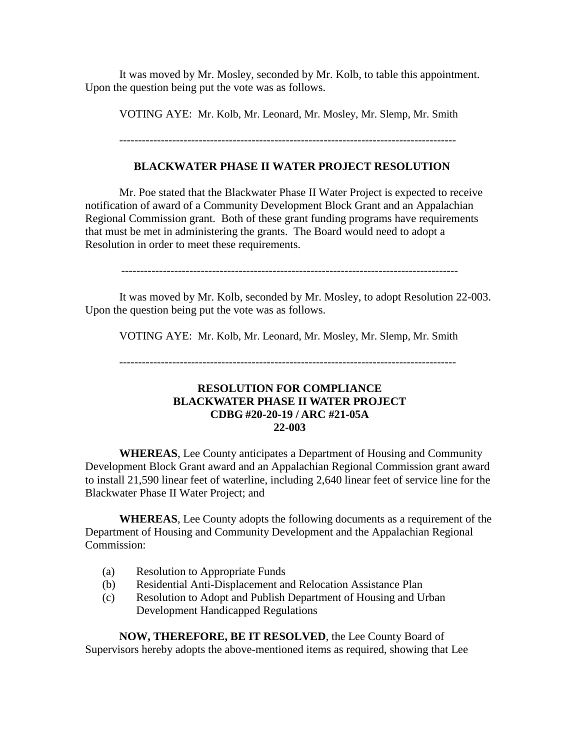It was moved by Mr. Mosley, seconded by Mr. Kolb, to table this appointment. Upon the question being put the vote was as follows.

VOTING AYE: Mr. Kolb, Mr. Leonard, Mr. Mosley, Mr. Slemp, Mr. Smith

#### -----------------------------------------------------------------------------------------

### **BLACKWATER PHASE II WATER PROJECT RESOLUTION**

Mr. Poe stated that the Blackwater Phase II Water Project is expected to receive notification of award of a Community Development Block Grant and an Appalachian Regional Commission grant. Both of these grant funding programs have requirements that must be met in administering the grants. The Board would need to adopt a Resolution in order to meet these requirements.

-----------------------------------------------------------------------------------------

It was moved by Mr. Kolb, seconded by Mr. Mosley, to adopt Resolution 22-003. Upon the question being put the vote was as follows.

VOTING AYE: Mr. Kolb, Mr. Leonard, Mr. Mosley, Mr. Slemp, Mr. Smith

### **RESOLUTION FOR COMPLIANCE BLACKWATER PHASE II WATER PROJECT CDBG #20-20-19 / ARC #21-05A 22-003**

 **WHEREAS**, Lee County anticipates a Department of Housing and Community Development Block Grant award and an Appalachian Regional Commission grant award to install 21,590 linear feet of waterline, including 2,640 linear feet of service line for the Blackwater Phase II Water Project; and

**WHEREAS**, Lee County adopts the following documents as a requirement of the Department of Housing and Community Development and the Appalachian Regional Commission:

- (a) Resolution to Appropriate Funds
- (b) Residential Anti-Displacement and Relocation Assistance Plan
- (c) Resolution to Adopt and Publish Department of Housing and Urban Development Handicapped Regulations

**NOW, THEREFORE, BE IT RESOLVED**, the Lee County Board of Supervisors hereby adopts the above-mentioned items as required, showing that Lee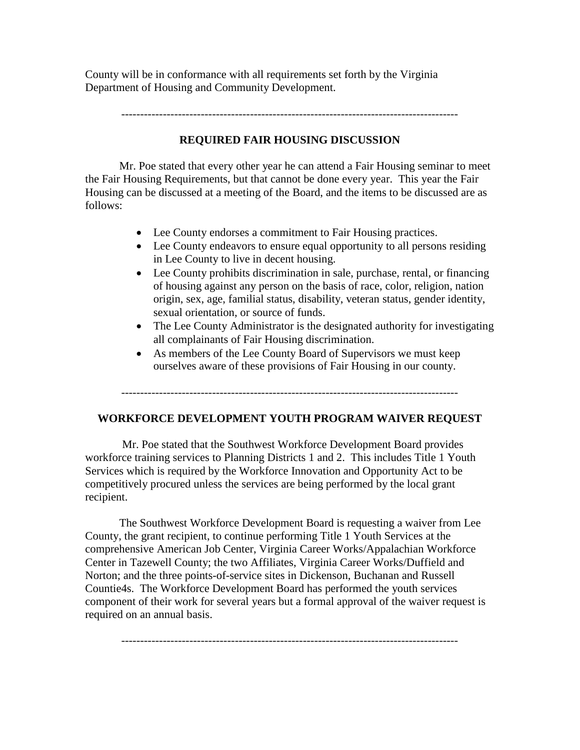County will be in conformance with all requirements set forth by the Virginia Department of Housing and Community Development.

### **REQUIRED FAIR HOUSING DISCUSSION**

Mr. Poe stated that every other year he can attend a Fair Housing seminar to meet the Fair Housing Requirements, but that cannot be done every year. This year the Fair Housing can be discussed at a meeting of the Board, and the items to be discussed are as follows:

- Lee County endorses a commitment to Fair Housing practices.
- Lee County endeavors to ensure equal opportunity to all persons residing in Lee County to live in decent housing.
- Lee County prohibits discrimination in sale, purchase, rental, or financing of housing against any person on the basis of race, color, religion, nation origin, sex, age, familial status, disability, veteran status, gender identity, sexual orientation, or source of funds.
- The Lee County Administrator is the designated authority for investigating all complainants of Fair Housing discrimination.
- As members of the Lee County Board of Supervisors we must keep ourselves aware of these provisions of Fair Housing in our county.

-----------------------------------------------------------------------------------------

# **WORKFORCE DEVELOPMENT YOUTH PROGRAM WAIVER REQUEST**

Mr. Poe stated that the Southwest Workforce Development Board provides workforce training services to Planning Districts 1 and 2. This includes Title 1 Youth Services which is required by the Workforce Innovation and Opportunity Act to be competitively procured unless the services are being performed by the local grant recipient.

The Southwest Workforce Development Board is requesting a waiver from Lee County, the grant recipient, to continue performing Title 1 Youth Services at the comprehensive American Job Center, Virginia Career Works/Appalachian Workforce Center in Tazewell County; the two Affiliates, Virginia Career Works/Duffield and Norton; and the three points-of-service sites in Dickenson, Buchanan and Russell Countie4s. The Workforce Development Board has performed the youth services component of their work for several years but a formal approval of the waiver request is required on an annual basis.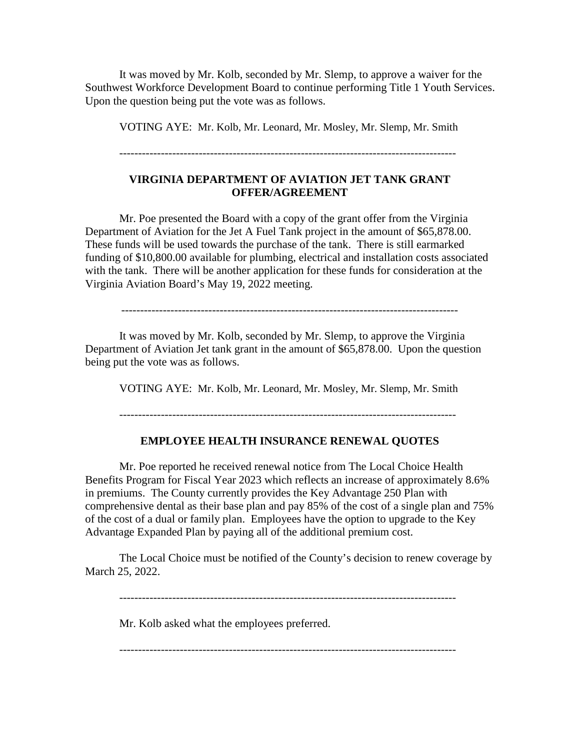It was moved by Mr. Kolb, seconded by Mr. Slemp, to approve a waiver for the Southwest Workforce Development Board to continue performing Title 1 Youth Services. Upon the question being put the vote was as follows.

VOTING AYE: Mr. Kolb, Mr. Leonard, Mr. Mosley, Mr. Slemp, Mr. Smith

-----------------------------------------------------------------------------------------

### **VIRGINIA DEPARTMENT OF AVIATION JET TANK GRANT OFFER/AGREEMENT**

Mr. Poe presented the Board with a copy of the grant offer from the Virginia Department of Aviation for the Jet A Fuel Tank project in the amount of \$65,878.00. These funds will be used towards the purchase of the tank. There is still earmarked funding of \$10,800.00 available for plumbing, electrical and installation costs associated with the tank. There will be another application for these funds for consideration at the Virginia Aviation Board's May 19, 2022 meeting.

-----------------------------------------------------------------------------------------

It was moved by Mr. Kolb, seconded by Mr. Slemp, to approve the Virginia Department of Aviation Jet tank grant in the amount of \$65,878.00. Upon the question being put the vote was as follows.

VOTING AYE: Mr. Kolb, Mr. Leonard, Mr. Mosley, Mr. Slemp, Mr. Smith

-----------------------------------------------------------------------------------------

#### **EMPLOYEE HEALTH INSURANCE RENEWAL QUOTES**

Mr. Poe reported he received renewal notice from The Local Choice Health Benefits Program for Fiscal Year 2023 which reflects an increase of approximately 8.6% in premiums. The County currently provides the Key Advantage 250 Plan with comprehensive dental as their base plan and pay 85% of the cost of a single plan and 75% of the cost of a dual or family plan. Employees have the option to upgrade to the Key Advantage Expanded Plan by paying all of the additional premium cost.

The Local Choice must be notified of the County's decision to renew coverage by March 25, 2022.

-----------------------------------------------------------------------------------------

Mr. Kolb asked what the employees preferred.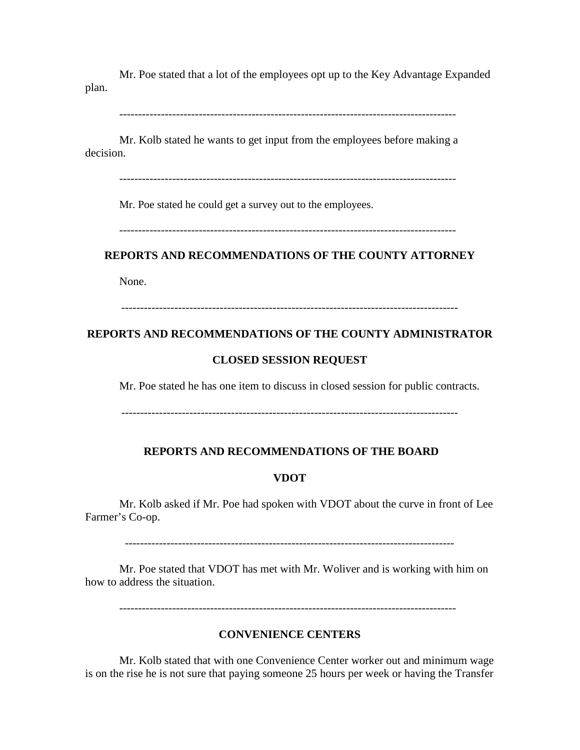Mr. Poe stated that a lot of the employees opt up to the Key Advantage Expanded plan.

-----------------------------------------------------------------------------------------

Mr. Kolb stated he wants to get input from the employees before making a decision.

-----------------------------------------------------------------------------------------

Mr. Poe stated he could get a survey out to the employees.

-----------------------------------------------------------------------------------------

### **REPORTS AND RECOMMENDATIONS OF THE COUNTY ATTORNEY**

None.

-----------------------------------------------------------------------------------------

### **REPORTS AND RECOMMENDATIONS OF THE COUNTY ADMINISTRATOR**

#### **CLOSED SESSION REQUEST**

Mr. Poe stated he has one item to discuss in closed session for public contracts.

-----------------------------------------------------------------------------------------

#### **REPORTS AND RECOMMENDATIONS OF THE BOARD**

#### **VDOT**

Mr. Kolb asked if Mr. Poe had spoken with VDOT about the curve in front of Lee Farmer's Co-op.

---------------------------------------------------------------------------------------

Mr. Poe stated that VDOT has met with Mr. Woliver and is working with him on how to address the situation.

-----------------------------------------------------------------------------------------

### **CONVENIENCE CENTERS**

Mr. Kolb stated that with one Convenience Center worker out and minimum wage is on the rise he is not sure that paying someone 25 hours per week or having the Transfer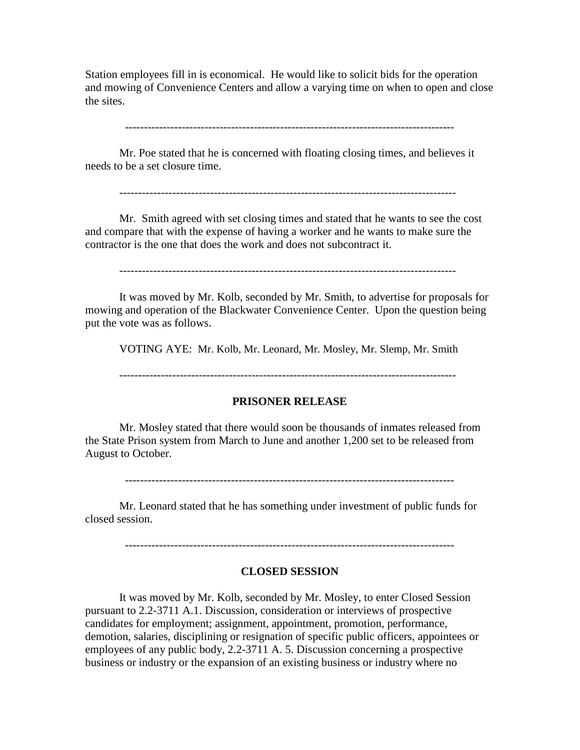Station employees fill in is economical. He would like to solicit bids for the operation and mowing of Convenience Centers and allow a varying time on when to open and close the sites.

---------------------------------------------------------------------------------------

Mr. Poe stated that he is concerned with floating closing times, and believes it needs to be a set closure time.

-----------------------------------------------------------------------------------------

Mr. Smith agreed with set closing times and stated that he wants to see the cost and compare that with the expense of having a worker and he wants to make sure the contractor is the one that does the work and does not subcontract it.

-----------------------------------------------------------------------------------------

It was moved by Mr. Kolb, seconded by Mr. Smith, to advertise for proposals for mowing and operation of the Blackwater Convenience Center. Upon the question being put the vote was as follows.

VOTING AYE: Mr. Kolb, Mr. Leonard, Mr. Mosley, Mr. Slemp, Mr. Smith

-----------------------------------------------------------------------------------------

#### **PRISONER RELEASE**

Mr. Mosley stated that there would soon be thousands of inmates released from the State Prison system from March to June and another 1,200 set to be released from August to October.

---------------------------------------------------------------------------------------

Mr. Leonard stated that he has something under investment of public funds for closed session.

---------------------------------------------------------------------------------------

#### **CLOSED SESSION**

It was moved by Mr. Kolb, seconded by Mr. Mosley, to enter Closed Session pursuant to 2.2-3711 A.1. Discussion, consideration or interviews of prospective candidates for employment; assignment, appointment, promotion, performance, demotion, salaries, disciplining or resignation of specific public officers, appointees or employees of any public body, 2.2-3711 A. 5. Discussion concerning a prospective business or industry or the expansion of an existing business or industry where no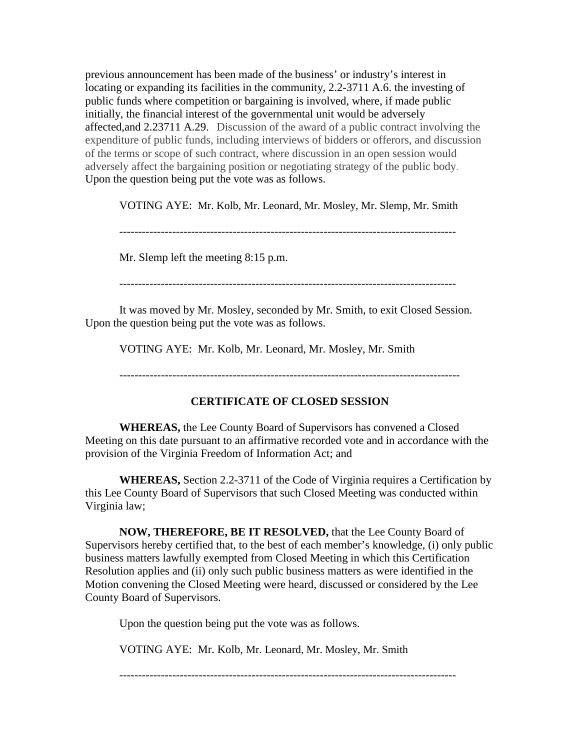previous announcement has been made of the business' or industry's interest in locating or expanding its facilities in the community, 2.2-3711 A.6. the investing of public funds where competition or bargaining is involved, where, if made public initially, the financial interest of the governmental unit would be adversely affected,and 2.23711 A.29. Discussion of the award of a public contract involving the expenditure of public funds, including interviews of bidders or offerors, and discussion of the terms or scope of such contract, where discussion in an open session would adversely affect the bargaining position or negotiating strategy of the public body. Upon the question being put the vote was as follows.

VOTING AYE: Mr. Kolb, Mr. Leonard, Mr. Mosley, Mr. Slemp, Mr. Smith

-----------------------------------------------------------------------------------------

Mr. Slemp left the meeting 8:15 p.m.

-----------------------------------------------------------------------------------------

It was moved by Mr. Mosley, seconded by Mr. Smith, to exit Closed Session. Upon the question being put the vote was as follows.

VOTING AYE: Mr. Kolb, Mr. Leonard, Mr. Mosley, Mr. Smith

------------------------------------------------------------------------------------------

## **CERTIFICATE OF CLOSED SESSION**

**WHEREAS,** the Lee County Board of Supervisors has convened a Closed Meeting on this date pursuant to an affirmative recorded vote and in accordance with the provision of the Virginia Freedom of Information Act; and

**WHEREAS,** Section 2.2-3711 of the Code of Virginia requires a Certification by this Lee County Board of Supervisors that such Closed Meeting was conducted within Virginia law;

**NOW, THEREFORE, BE IT RESOLVED,** that the Lee County Board of Supervisors hereby certified that, to the best of each member's knowledge, (i) only public business matters lawfully exempted from Closed Meeting in which this Certification Resolution applies and (ii) only such public business matters as were identified in the Motion convening the Closed Meeting were heard, discussed or considered by the Lee County Board of Supervisors.

Upon the question being put the vote was as follows.

VOTING AYE: Mr. Kolb, Mr. Leonard, Mr. Mosley, Mr. Smith